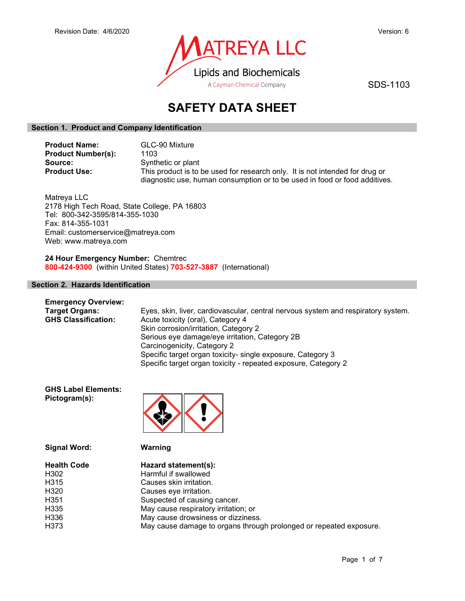

SDS-1103

# SAFETY DATA SHEET

# Section 1. Product and Company Identification

| <b>Product Name:</b>      | GLC-90 Mixture                                                               |
|---------------------------|------------------------------------------------------------------------------|
| <b>Product Number(s):</b> | 1103                                                                         |
| Source:                   | Synthetic or plant                                                           |
| <b>Product Use:</b>       | This product is to be used for research only. It is not intended for drug or |
|                           | diagnostic use, human consumption or to be used in food or food additives.   |

Matreya LLC 2178 High Tech Road, State College, PA 16803 Tel: 800-342-3595/814-355-1030 Fax: 814-355-1031 Email: customerservice@matreya.com Web: www.matreya.com

24 Hour Emergency Number: Chemtrec 800-424-9300 (within United States) 703-527-3887 (International)

# Section 2. Hazards Identification

| <b>Emergency Overview:</b> |                                                                                   |
|----------------------------|-----------------------------------------------------------------------------------|
| <b>Target Organs:</b>      | Eyes, skin, liver, cardiovascular, central nervous system and respiratory system. |
| <b>GHS Classification:</b> | Acute toxicity (oral), Category 4                                                 |
|                            | Skin corrosion/irritation, Category 2                                             |
|                            | Serious eye damage/eye irritation, Category 2B                                    |
|                            | Carcinogenicity, Category 2                                                       |
|                            | Specific target organ toxicity- single exposure, Category 3                       |
|                            | Specific target organ toxicity - repeated exposure, Category 2                    |

GHS Label Elements: Pictogram(s):



| <b>Signal Word:</b> |  |
|---------------------|--|
|---------------------|--|

Warning

| Hazard statement(s):                                               |
|--------------------------------------------------------------------|
| Harmful if swallowed                                               |
| Causes skin irritation.                                            |
| Causes eye irritation.                                             |
| Suspected of causing cancer.                                       |
| May cause respiratory irritation; or                               |
| May cause drowsiness or dizziness.                                 |
| May cause damage to organs through prolonged or repeated exposure. |
|                                                                    |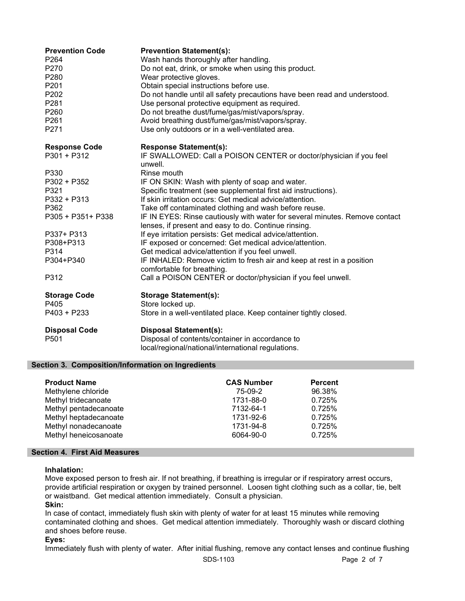| <b>Prevention Code</b><br>P <sub>264</sub><br>P270<br>P280<br>P201<br>P202<br>P281<br>P260<br>P261<br>P271                      | <b>Prevention Statement(s):</b><br>Wash hands thoroughly after handling.<br>Do not eat, drink, or smoke when using this product.<br>Wear protective gloves.<br>Obtain special instructions before use.<br>Do not handle until all safety precautions have been read and understood.<br>Use personal protective equipment as required.<br>Do not breathe dust/fume/gas/mist/vapors/spray.<br>Avoid breathing dust/fume/gas/mist/vapors/spray.<br>Use only outdoors or in a well-ventilated area.                                                                                                                                                                                                                                               |
|---------------------------------------------------------------------------------------------------------------------------------|-----------------------------------------------------------------------------------------------------------------------------------------------------------------------------------------------------------------------------------------------------------------------------------------------------------------------------------------------------------------------------------------------------------------------------------------------------------------------------------------------------------------------------------------------------------------------------------------------------------------------------------------------------------------------------------------------------------------------------------------------|
| <b>Response Code</b><br>$P301 + P312$                                                                                           | <b>Response Statement(s):</b><br>IF SWALLOWED: Call a POISON CENTER or doctor/physician if you feel<br>unwell.                                                                                                                                                                                                                                                                                                                                                                                                                                                                                                                                                                                                                                |
| P330<br>P302 + P352<br>P321<br>P332 + P313<br>P362<br>P305 + P351+ P338<br>P337+ P313<br>P308+P313<br>P314<br>P304+P340<br>P312 | Rinse mouth<br>IF ON SKIN: Wash with plenty of soap and water.<br>Specific treatment (see supplemental first aid instructions).<br>If skin irritation occurs: Get medical advice/attention.<br>Take off contaminated clothing and wash before reuse.<br>IF IN EYES: Rinse cautiously with water for several minutes. Remove contact<br>lenses, if present and easy to do. Continue rinsing.<br>If eye irritation persists: Get medical advice/attention.<br>IF exposed or concerned: Get medical advice/attention.<br>Get medical advice/attention if you feel unwell.<br>IF INHALED: Remove victim to fresh air and keep at rest in a position<br>comfortable for breathing.<br>Call a POISON CENTER or doctor/physician if you feel unwell. |
| <b>Storage Code</b><br>P405<br>$P403 + P233$                                                                                    | <b>Storage Statement(s):</b><br>Store locked up.<br>Store in a well-ventilated place. Keep container tightly closed.                                                                                                                                                                                                                                                                                                                                                                                                                                                                                                                                                                                                                          |
| <b>Disposal Code</b><br>P501                                                                                                    | <b>Disposal Statement(s):</b><br>Disposal of contents/container in accordance to<br>local/regional/national/international regulations.                                                                                                                                                                                                                                                                                                                                                                                                                                                                                                                                                                                                        |

# Section 3. Composition/Information on Ingredients

| <b>Product Name</b>   | <b>CAS Number</b> | <b>Percent</b> |
|-----------------------|-------------------|----------------|
| Methylene chloride    | 75-09-2           | 96.38%         |
| Methyl tridecanoate   | 1731-88-0         | 0.725%         |
| Methyl pentadecanoate | 7132-64-1         | 0.725%         |
| Methyl heptadecanoate | 1731-92-6         | 0.725%         |
| Methyl nonadecanoate  | 1731-94-8         | 0.725%         |
| Methyl heneicosanoate | 6064-90-0         | 0.725%         |

# Section 4. First Aid Measures

## Inhalation:

Move exposed person to fresh air. If not breathing, if breathing is irregular or if respiratory arrest occurs, provide artificial respiration or oxygen by trained personnel. Loosen tight clothing such as a collar, tie, belt or waistband. Get medical attention immediately. Consult a physician.

## Skin:

In case of contact, immediately flush skin with plenty of water for at least 15 minutes while removing contaminated clothing and shoes. Get medical attention immediately. Thoroughly wash or discard clothing and shoes before reuse.

# Eyes:

Immediately flush with plenty of water. After initial flushing, remove any contact lenses and continue flushing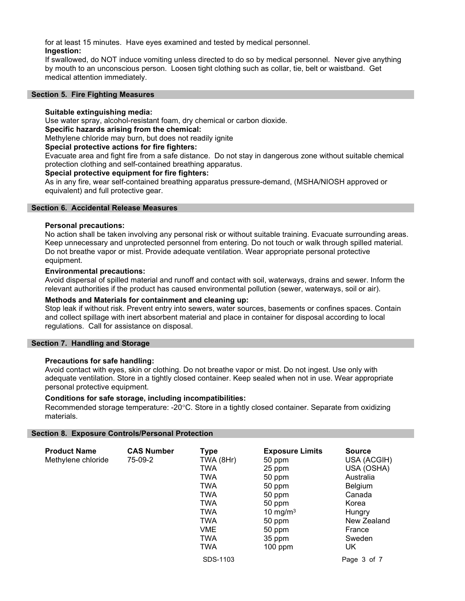for at least 15 minutes. Have eyes examined and tested by medical personnel. Ingestion:

If swallowed, do NOT induce vomiting unless directed to do so by medical personnel. Never give anything by mouth to an unconscious person. Loosen tight clothing such as collar, tie, belt or waistband. Get medical attention immediately.

#### Section 5. Fire Fighting Measures

## Suitable extinguishing media:

Use water spray, alcohol-resistant foam, dry chemical or carbon dioxide.

# Specific hazards arising from the chemical:

Methylene chloride may burn, but does not readily ignite

#### Special protective actions for fire fighters:

Evacuate area and fight fire from a safe distance. Do not stay in dangerous zone without suitable chemical protection clothing and self-contained breathing apparatus.

#### Special protective equipment for fire fighters:

As in any fire, wear self-contained breathing apparatus pressure-demand, (MSHA/NIOSH approved or equivalent) and full protective gear.

#### Section 6. Accidental Release Measures

#### Personal precautions:

No action shall be taken involving any personal risk or without suitable training. Evacuate surrounding areas. Keep unnecessary and unprotected personnel from entering. Do not touch or walk through spilled material. Do not breathe vapor or mist. Provide adequate ventilation. Wear appropriate personal protective equipment.

#### Environmental precautions:

Avoid dispersal of spilled material and runoff and contact with soil, waterways, drains and sewer. Inform the relevant authorities if the product has caused environmental pollution (sewer, waterways, soil or air).

#### Methods and Materials for containment and cleaning up:

Stop leak if without risk. Prevent entry into sewers, water sources, basements or confines spaces. Contain and collect spillage with inert absorbent material and place in container for disposal according to local regulations. Call for assistance on disposal.

#### Section 7. Handling and Storage

## Precautions for safe handling:

Avoid contact with eyes, skin or clothing. Do not breathe vapor or mist. Do not ingest. Use only with adequate ventilation. Store in a tightly closed container. Keep sealed when not in use. Wear appropriate personal protective equipment.

#### Conditions for safe storage, including incompatibilities:

Recommended storage temperature: -20°C. Store in a tightly closed container. Separate from oxidizing materials.

#### Section 8. Exposure Controls/Personal Protection

| <b>Product Name</b><br>Methylene chloride | <b>CAS Number</b><br>75-09-2 | <b>Type</b><br>TWA (8Hr)<br><b>TWA</b><br>TWA<br>TWA<br><b>TWA</b><br>TWA<br>TWA<br><b>TWA</b><br>VME<br>TWA<br>TWA | <b>Exposure Limits</b><br>50 ppm<br>25 ppm<br>50 ppm<br>50 ppm<br>50 ppm<br>50 ppm<br>10 mg/m $3$<br>50 ppm<br>50 ppm<br>35 ppm<br>$100$ ppm | <b>Source</b><br>USA (ACGIH)<br>USA (OSHA)<br>Australia<br>Belgium<br>Canada<br>Korea<br>Hungry<br>New Zealand<br>France<br>Sweden<br>UK |
|-------------------------------------------|------------------------------|---------------------------------------------------------------------------------------------------------------------|----------------------------------------------------------------------------------------------------------------------------------------------|------------------------------------------------------------------------------------------------------------------------------------------|
|                                           |                              | SDS-1103                                                                                                            |                                                                                                                                              | Page 3 of 7                                                                                                                              |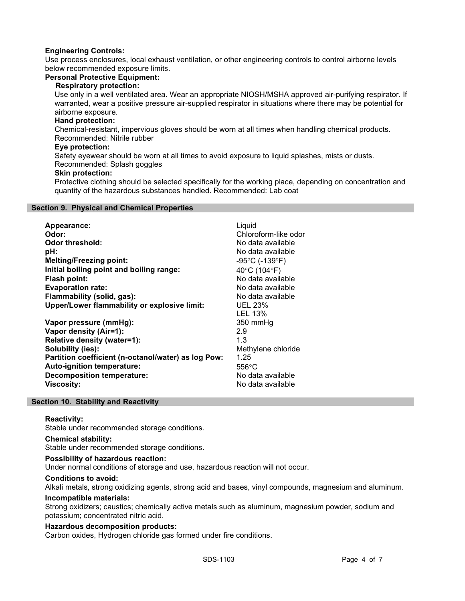# Engineering Controls:

Use process enclosures, local exhaust ventilation, or other engineering controls to control airborne levels below recommended exposure limits.

## Personal Protective Equipment:

## Respiratory protection:

Use only in a well ventilated area. Wear an appropriate NIOSH/MSHA approved air-purifying respirator. If warranted, wear a positive pressure air-supplied respirator in situations where there may be potential for airborne exposure.

## Hand protection:

Chemical-resistant, impervious gloves should be worn at all times when handling chemical products. Recommended: Nitrile rubber

## Eye protection:

Safety eyewear should be worn at all times to avoid exposure to liquid splashes, mists or dusts. Recommended: Splash goggles

# Skin protection:

Protective clothing should be selected specifically for the working place, depending on concentration and quantity of the hazardous substances handled. Recommended: Lab coat

#### Section 9. Physical and Chemical Properties

| Appearance:                                         | Liquid                              |
|-----------------------------------------------------|-------------------------------------|
| Odor:                                               | Chloroform-like odor                |
| Odor threshold:                                     | No data available                   |
| pH:                                                 | No data available                   |
| <b>Melting/Freezing point:</b>                      | $-95^{\circ}$ C (-139 $^{\circ}$ F) |
| Initial boiling point and boiling range:            | 40°C (104°F)                        |
| <b>Flash point:</b>                                 | No data available                   |
| <b>Evaporation rate:</b>                            | No data available                   |
| Flammability (solid, gas):                          | No data available                   |
| Upper/Lower flammability or explosive limit:        | <b>UEL 23%</b>                      |
|                                                     | LEL 13%                             |
| Vapor pressure (mmHg):                              | 350 mmHg                            |
| Vapor density (Air=1):                              | 2.9                                 |
| Relative density (water=1):                         | 1.3                                 |
| Solubility (ies):                                   | Methylene chloride                  |
| Partition coefficient (n-octanol/water) as log Pow: | 1.25                                |
| Auto-ignition temperature:                          | $556^{\circ}$ C                     |
| <b>Decomposition temperature:</b>                   | No data available                   |
| <b>Viscosity:</b>                                   | No data available                   |

## Section 10. Stability and Reactivity

## Reactivity:

Stable under recommended storage conditions.

#### Chemical stability:

Stable under recommended storage conditions.

## Possibility of hazardous reaction:

Under normal conditions of storage and use, hazardous reaction will not occur.

## Conditions to avoid:

Alkali metals, strong oxidizing agents, strong acid and bases, vinyl compounds, magnesium and aluminum.

## Incompatible materials:

Strong oxidizers; caustics; chemically active metals such as aluminum, magnesium powder, sodium and potassium; concentrated nitric acid.

## Hazardous decomposition products:

Carbon oxides, Hydrogen chloride gas formed under fire conditions.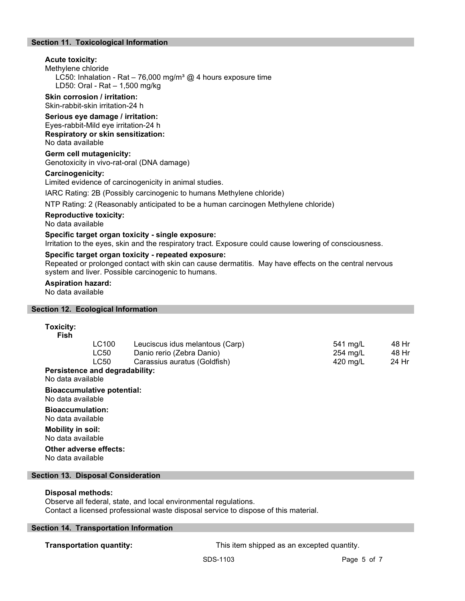# Section 11. Toxicological Information

# Acute toxicity:

#### Methylene chloride

LC50: Inhalation - Rat - 76,000 mg/m<sup>3</sup> @ 4 hours exposure time LD50: Oral - Rat – 1,500 mg/kg

#### Skin corrosion / irritation: Skin-rabbit-skin irritation-24 h

Serious eye damage / irritation:

Eyes-rabbit-Mild eye irritation-24 h Respiratory or skin sensitization: No data available

# Germ cell mutagenicity:

Genotoxicity in vivo-rat-oral (DNA damage)

# Carcinogenicity:

Limited evidence of carcinogenicity in animal studies.

IARC Rating: 2B (Possibly carcinogenic to humans Methylene chloride)

NTP Rating: 2 (Reasonably anticipated to be a human carcinogen Methylene chloride)

#### Reproductive toxicity:

No data available

# Specific target organ toxicity - single exposure:

Irritation to the eyes, skin and the respiratory tract. Exposure could cause lowering of consciousness.

## Specific target organ toxicity - repeated exposure:

Repeated or prolonged contact with skin can cause dermatitis. May have effects on the central nervous system and liver. Possible carcinogenic to humans.

#### Aspiration hazard:

No data available

## Section 12. Ecological Information

#### Toxicity: Fish

| LC100 | Leuciscus idus melantous (Carp) | 541 ma/L | 48 Hr |
|-------|---------------------------------|----------|-------|
| LC50  | Danio rerio (Zebra Danio)       | 254 mg/L | 48 Hr |
| LC50  | Carassius auratus (Goldfish)    | 420 ma/L | 24 Hr |
|       |                                 |          |       |

# Persistence and degradability:

No data available

# Bioaccumulative potential:

No data available

Bioaccumulation: No data available

Mobility in soil: No data available

#### Other adverse effects: No data available

# Section 13. Disposal Consideration

# Disposal methods:

Observe all federal, state, and local environmental regulations. Contact a licensed professional waste disposal service to dispose of this material.

## Section 14. Transportation Information

**Transportation quantity:** This item shipped as an excepted quantity.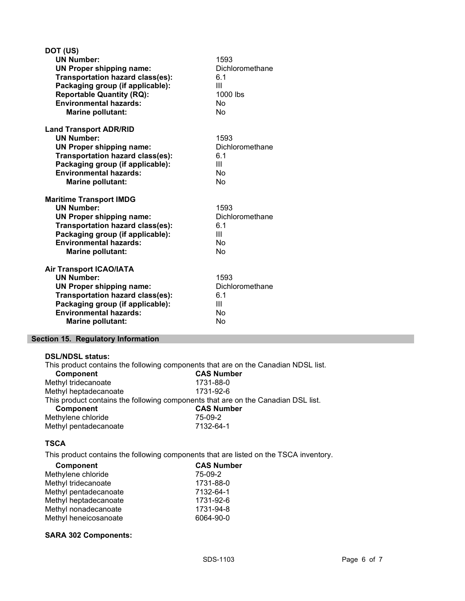| DOT (US)                                |                 |
|-----------------------------------------|-----------------|
| <b>UN Number:</b>                       | 1593            |
| <b>UN Proper shipping name:</b>         | Dichloromethane |
| Transportation hazard class(es):        | 6.1             |
| Packaging group (if applicable):        | Ш               |
| <b>Reportable Quantity (RQ):</b>        | 1000 lbs        |
| <b>Environmental hazards:</b>           | No              |
| <b>Marine pollutant:</b>                | <b>No</b>       |
| <b>Land Transport ADR/RID</b>           |                 |
| <b>UN Number:</b>                       | 1593            |
| <b>UN Proper shipping name:</b>         | Dichloromethane |
| Transportation hazard class(es):        | 6.1             |
| Packaging group (if applicable):        | Ш               |
| <b>Environmental hazards:</b>           | No              |
| <b>Marine pollutant:</b>                | No              |
| <b>Maritime Transport IMDG</b>          |                 |
| <b>UN Number:</b>                       | 1593            |
| <b>UN Proper shipping name:</b>         | Dichloromethane |
| <b>Transportation hazard class(es):</b> | 6.1             |
| Packaging group (if applicable):        | Ш               |
| <b>Environmental hazards:</b>           | <b>No</b>       |
| <b>Marine pollutant:</b>                | No              |
| <b>Air Transport ICAO/IATA</b>          |                 |
| <b>UN Number:</b>                       | 1593            |
| <b>UN Proper shipping name:</b>         | Dichloromethane |
| <b>Transportation hazard class(es):</b> | 6.1             |
|                                         |                 |
| Packaging group (if applicable):        | Ш               |
| <b>Environmental hazards:</b>           | No<br>No        |

# Section 15. Regulatory Information

#### DSL/NDSL status:

This product contains the following components that are on the Canadian NDSL list.<br> **CAS Number** Component Methyl tridecanoate 1731-88-0 Methyl heptadecanoate 1731-92-6 This product contains the following components that are on the Canadian DSL list.<br> **CAS Number** CAS Number<br>75-09-2 Methylene chloride<br>
Methyl pentadecanoate<br>
7132-64-1 Methyl pentadecanoate

# **TSCA**

This product contains the following components that are listed on the TSCA inventory.

| Component             | <b>CAS Number</b> |
|-----------------------|-------------------|
| Methylene chloride    | 75-09-2           |
| Methyl tridecanoate   | 1731-88-0         |
| Methyl pentadecanoate | 7132-64-1         |
| Methyl heptadecanoate | 1731-92-6         |
| Methyl nonadecanoate  | 1731-94-8         |
| Methyl heneicosanoate | 6064-90-0         |

## SARA 302 Components: